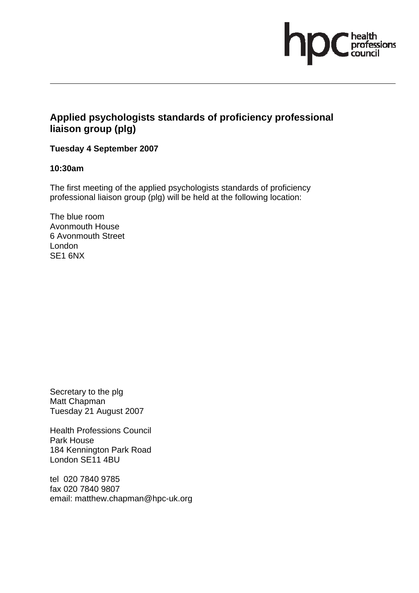

# **Applied psychologists standards of proficiency professional liaison group (plg)**

## **Tuesday 4 September 2007**

### **10:30am**

The first meeting of the applied psychologists standards of proficiency professional liaison group (plg) will be held at the following location:

The blue room Avonmouth House 6 Avonmouth Street London SE1 6NX

Secretary to the plg Matt Chapman Tuesday 21 August 2007

Health Professions Council Park House 184 Kennington Park Road London SE11 4BU

tel 020 7840 9785 fax 020 7840 9807 email: matthew.chapman@hpc-uk.org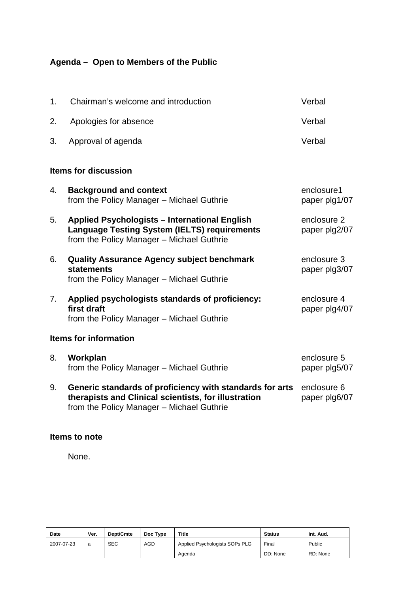# **Agenda – Open to Members of the Public**

| 1.                           | Chairman's welcome and introduction                                                                                                                           | Verbal                       |  |  |  |  |  |
|------------------------------|---------------------------------------------------------------------------------------------------------------------------------------------------------------|------------------------------|--|--|--|--|--|
| 2.                           | Apologies for absence                                                                                                                                         | Verbal                       |  |  |  |  |  |
| 3.                           | Approval of agenda                                                                                                                                            | Verbal                       |  |  |  |  |  |
| <b>Items for discussion</b>  |                                                                                                                                                               |                              |  |  |  |  |  |
| 4.                           | <b>Background and context</b><br>from the Policy Manager - Michael Guthrie                                                                                    | enclosure1<br>paper plg1/07  |  |  |  |  |  |
| 5.                           | Applied Psychologists - International English<br><b>Language Testing System (IELTS) requirements</b><br>from the Policy Manager - Michael Guthrie             | enclosure 2<br>paper plg2/07 |  |  |  |  |  |
| 6.                           | <b>Quality Assurance Agency subject benchmark</b><br><b>statements</b><br>from the Policy Manager - Michael Guthrie                                           | enclosure 3<br>paper plg3/07 |  |  |  |  |  |
| 7 <sub>1</sub>               | Applied psychologists standards of proficiency:<br>first draft<br>from the Policy Manager - Michael Guthrie                                                   | enclosure 4<br>paper plg4/07 |  |  |  |  |  |
| <b>Items for information</b> |                                                                                                                                                               |                              |  |  |  |  |  |
| 8.                           | Workplan<br>from the Policy Manager - Michael Guthrie                                                                                                         | enclosure 5<br>paper plg5/07 |  |  |  |  |  |
| 9.                           | Generic standards of proficiency with standards for arts<br>therapists and Clinical scientists, for illustration<br>from the Policy Manager - Michael Guthrie | enclosure 6<br>paper plg6/07 |  |  |  |  |  |

## **Items to note**

None.

| Date       | Ver. | Dept/Cmte  | Doc Type   | <b>Title</b>                   | <b>Status</b> | Int. Aud. |
|------------|------|------------|------------|--------------------------------|---------------|-----------|
| 2007-07-23 | a    | <b>SEC</b> | <b>AGD</b> | Applied Psychologists SOPs PLG | Final         | Public    |
|            |      |            |            | Agenda                         | DD: None      | RD: None  |